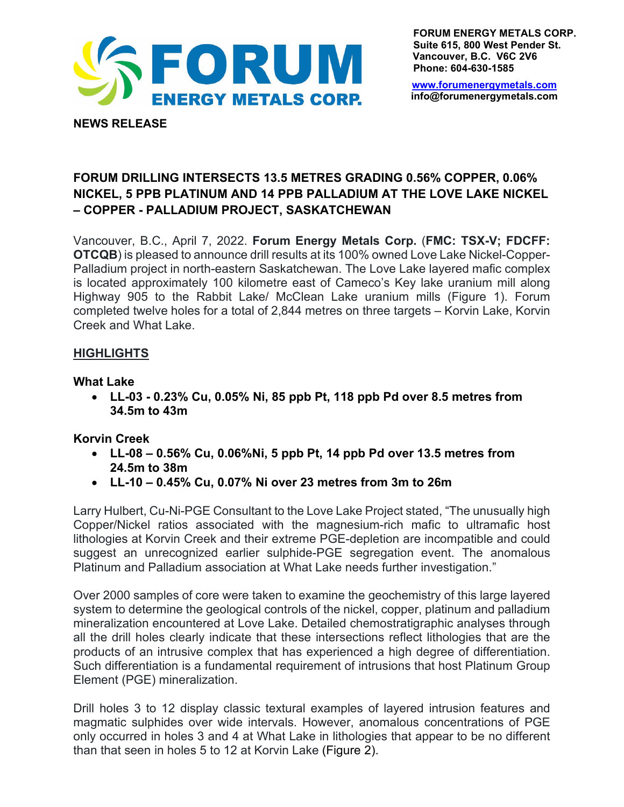

**FORUM ENERGY METALS CORP. Suite 615, 800 West Pender St. Vancouver, B.C. V6C 2V6 Phone: 604-630-1585**

[www.forumenergymetals.com](http://www.forumenergymetals.comu/) **info@forumenergymetals.com**

# **FORUM DRILLING INTERSECTS 13.5 METRES GRADING 0.56% COPPER, 0.06% NICKEL, 5 PPB PLATINUM AND 14 PPB PALLADIUM AT THE LOVE LAKE NICKEL – COPPER - PALLADIUM PROJECT, SASKATCHEWAN**

Vancouver, B.C., April 7, 2022. **Forum Energy Metals Corp.** (**FMC: TSX-V; FDCFF: OTCQB**) is pleased to announce drill results at its 100% owned Love Lake Nickel-Copper-Palladium project in north-eastern Saskatchewan. The Love Lake layered mafic complex is located approximately 100 kilometre east of Cameco's Key lake uranium mill along Highway 905 to the Rabbit Lake/ McClean Lake uranium mills (Figure 1). Forum completed twelve holes for a total of 2,844 metres on three targets – Korvin Lake, Korvin Creek and What Lake.

## **HIGHLIGHTS**

**NEWS RELEASE**

#### **What Lake**

• **LL-03 - 0.23% Cu, 0.05% Ni, 85 ppb Pt, 118 ppb Pd over 8.5 metres from 34.5m to 43m**

## **Korvin Creek**

- **LL-08 0.56% Cu, 0.06%Ni, 5 ppb Pt, 14 ppb Pd over 13.5 metres from 24.5m to 38m**
- **LL-10 0.45% Cu, 0.07% Ni over 23 metres from 3m to 26m**

Larry Hulbert, Cu-Ni-PGE Consultant to the Love Lake Project stated, "The unusually high Copper/Nickel ratios associated with the magnesium-rich mafic to ultramafic host lithologies at Korvin Creek and their extreme PGE-depletion are incompatible and could suggest an unrecognized earlier sulphide-PGE segregation event. The anomalous Platinum and Palladium association at What Lake needs further investigation."

Over 2000 samples of core were taken to examine the geochemistry of this large layered system to determine the geological controls of the nickel, copper, platinum and palladium mineralization encountered at Love Lake. Detailed chemostratigraphic analyses through all the drill holes clearly indicate that these intersections reflect lithologies that are the products of an intrusive complex that has experienced a high degree of differentiation. Such differentiation is a fundamental requirement of intrusions that host Platinum Group Element (PGE) mineralization.

Drill holes 3 to 12 display classic textural examples of layered intrusion features and magmatic sulphides over wide intervals. However, anomalous concentrations of PGE only occurred in holes 3 and 4 at What Lake in lithologies that appear to be no different than that seen in holes 5 to 12 at Korvin Lake (Figure 2).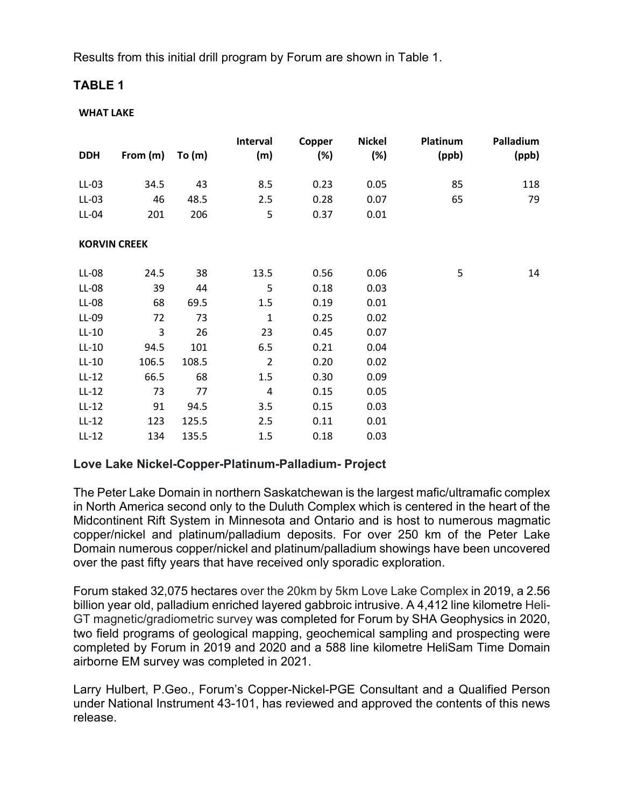Results from this initial drill program by Forum are shown in Table 1.

## **TABLE 1**

#### **WHAT LAKE**

| <b>DDH</b>          | From (m) | To $(m)$ | Interval<br>(m) | Copper<br>(%) | <b>Nickel</b><br>$(\%)$ | Platinum<br>(ppb) | Palladium<br>(ppb) |
|---------------------|----------|----------|-----------------|---------------|-------------------------|-------------------|--------------------|
| $LL-03$             | 34.5     | 43       | 8.5             | 0.23          | 0.05                    | 85                | 118                |
| $LL-03$             | 46       | 48.5     | 2.5             | 0.28          | 0.07                    | 65                | 79                 |
|                     |          |          |                 |               |                         |                   |                    |
| LL-04               | 201      | 206      | 5               | 0.37          | 0.01                    |                   |                    |
| <b>KORVIN CREEK</b> |          |          |                 |               |                         |                   |                    |
| LL-08               | 24.5     | 38       | 13.5            | 0.56          | 0.06                    | 5                 | 14                 |
| LL-08               | 39       | 44       | 5               | 0.18          | 0.03                    |                   |                    |
| LL-08               | 68       | 69.5     | 1.5             | 0.19          | 0.01                    |                   |                    |
| LL-09               | 72       | 73       | $\mathbf{1}$    | 0.25          | 0.02                    |                   |                    |
| $LL-10$             | 3        | 26       | 23              | 0.45          | 0.07                    |                   |                    |
| $LL-10$             | 94.5     | 101      | 6.5             | 0.21          | 0.04                    |                   |                    |
| $LL-10$             | 106.5    | 108.5    | $\overline{2}$  | 0.20          | 0.02                    |                   |                    |
| $LL-12$             | 66.5     | 68       | 1.5             | 0.30          | 0.09                    |                   |                    |
| $LL-12$             | 73       | 77       | 4               | 0.15          | 0.05                    |                   |                    |
| $LL-12$             | 91       | 94.5     | 3.5             | 0.15          | 0.03                    |                   |                    |
| $LL-12$             | 123      | 125.5    | 2.5             | 0.11          | 0.01                    |                   |                    |
| $LL-12$             | 134      | 135.5    | 1.5             | 0.18          | 0.03                    |                   |                    |

## **Love Lake Nickel-Copper-Platinum-Palladium- Project**

The Peter Lake Domain in northern Saskatchewan is the largest mafic/ultramafic complex in North America second only to the Duluth Complex which is centered in the heart of the Midcontinent Rift System in Minnesota and Ontario and is host to numerous magmatic copper/nickel and platinum/palladium deposits. For over 250 km of the Peter Lake Domain numerous copper/nickel and platinum/palladium showings have been uncovered over the past fifty years that have received only sporadic exploration.

Forum staked 32,075 hectares over the 20km by 5km Love Lake Complex in 2019, a 2.56 billion year old, palladium enriched layered gabbroic intrusive. A 4,412 line kilometre Heli-GT magnetic/gradiometric survey was completed for Forum by SHA Geophysics in 2020, two field programs of geological mapping, geochemical sampling and prospecting were completed by Forum in 2019 and 2020 and a 588 line kilometre HeliSam Time Domain airborne EM survey was completed in 2021.

Larry Hulbert, P.Geo., Forum's Copper-Nickel-PGE Consultant and a Qualified Person under National Instrument 43-101, has reviewed and approved the contents of this news release.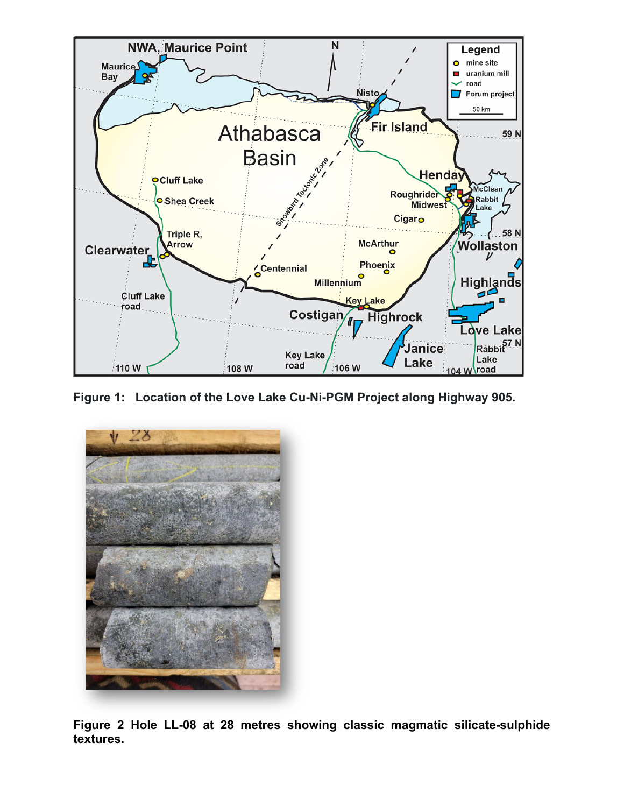

**Figure 1: Location of the Love Lake Cu-Ni-PGM Project along Highway 905.**



**Figure 2 Hole LL-08 at 28 metres showing classic magmatic silicate-sulphide textures.**